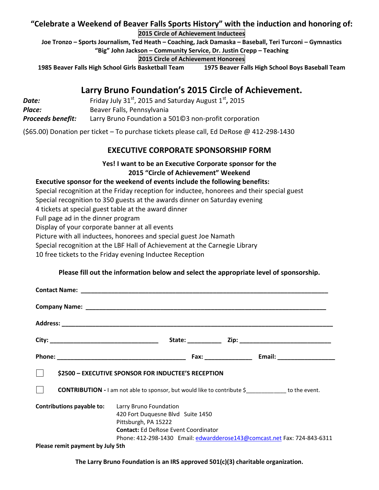# **"Celebrate a Weekend of Beaver Falls Sports History" with the induction and honoring of: 2015 Circle of Achievement Inductees**

**Joe Tronzo – Sports Journalism, Ted Heath – Coaching, Jack Damaska – Baseball, Teri Turconi – Gymnastics "Big" John Jackson – Community Service, Dr. Justin Crepp – Teaching**

**2015 Circle of Achievement Honorees**

**1985 Beaver Falls High School Girls Basketball Team 1975 Beaver Falls High School Boys Baseball Team**

# **Larry Bruno Foundation's 2015 Circle of Achievement.**

| Date:                    | Friday July 31 <sup>st</sup> , 2015 and Saturday August $1st$ , 2015 |
|--------------------------|----------------------------------------------------------------------|
| Place:                   | Beaver Falls, Pennsylvania                                           |
| <b>Proceeds benefit:</b> | Larry Bruno Foundation a 50103 non-profit corporation                |

(\$65.00) Donation per ticket – To purchase tickets please call, Ed DeRose @ 412-298-1430

## **EXECUTIVE CORPORATE SPONSORSHIP FORM**

#### **Yes! I want to be an Executive Corporate sponsor for the 2015 "Circle of Achievement" Weekend**

#### **Executive sponsor for the weekend of events include the following benefits:**

Special recognition at the Friday reception for inductee, honorees and their special guest

Special recognition to 350 guests at the awards dinner on Saturday evening

4 tickets at special guest table at the award dinner

Full page ad in the dinner program

Display of your corporate banner at all events

Picture with all inductees, honorees and special guest Joe Namath

Special recognition at the LBF Hall of Achievement at the Carnegie Library

10 free tickets to the Friday evening Inductee Reception

#### **Please fill out the information below and select the appropriate level of sponsorship.**

| $\perp$<br>\$2500 - EXECUTIVE SPONSOR FOR INDUCTEE'S RECEPTION                                                       |                                                                                                          |  |  |                                                                          |  |  |
|----------------------------------------------------------------------------------------------------------------------|----------------------------------------------------------------------------------------------------------|--|--|--------------------------------------------------------------------------|--|--|
| $\Box$<br><b>CONTRIBUTION</b> - I am not able to sponsor, but would like to contribute \$ ____________ to the event. |                                                                                                          |  |  |                                                                          |  |  |
| <b>Contributions payable to:</b> Larry Bruno Foundation                                                              | 420 Fort Duquesne Blvd Suite 1450<br>Pittsburgh, PA 15222<br><b>Contact:</b> Ed DeRose Event Coordinator |  |  | Phone: 412-298-1430 Email: edwardderose143@comcast.net Fax: 724-843-6311 |  |  |
| Please remit payment by July 5th                                                                                     |                                                                                                          |  |  |                                                                          |  |  |

**The Larry Bruno Foundation is an IRS approved 501(c)(3) charitable organization.**